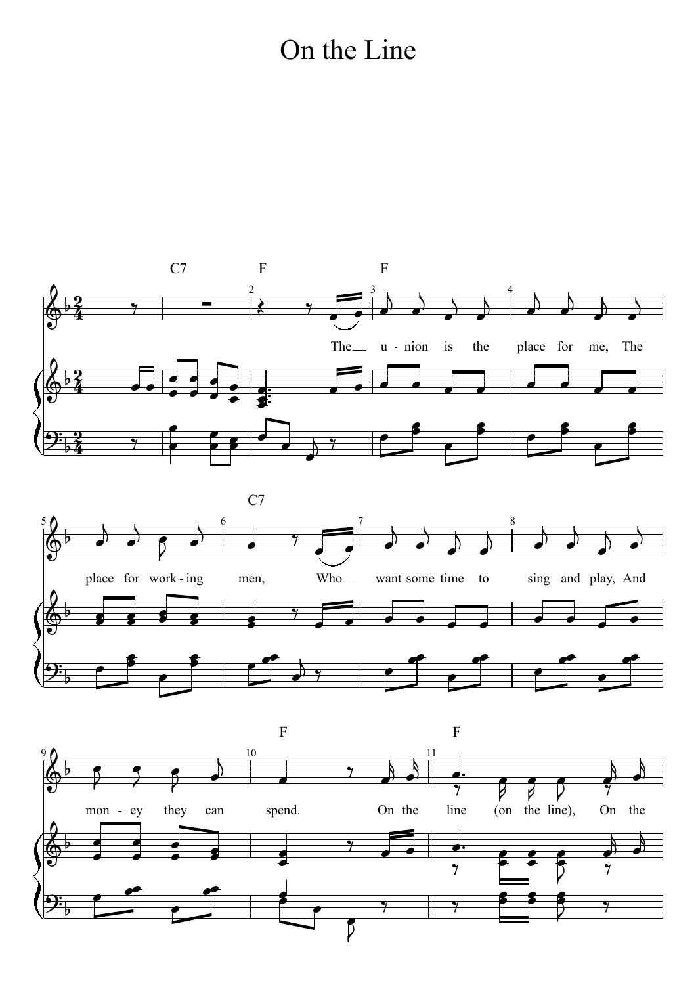#### On the Line

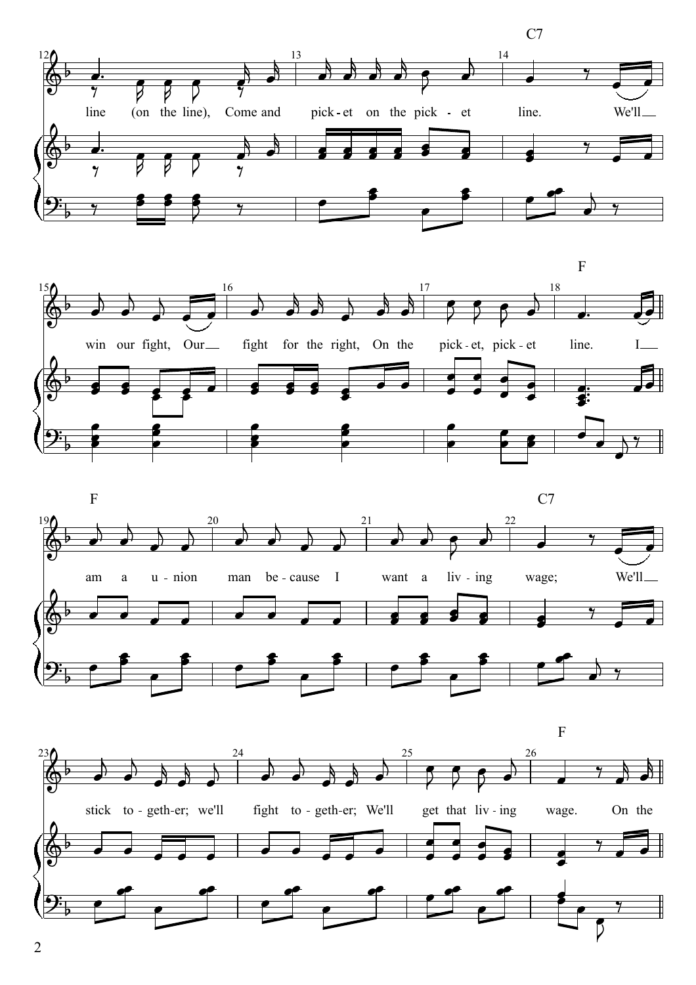





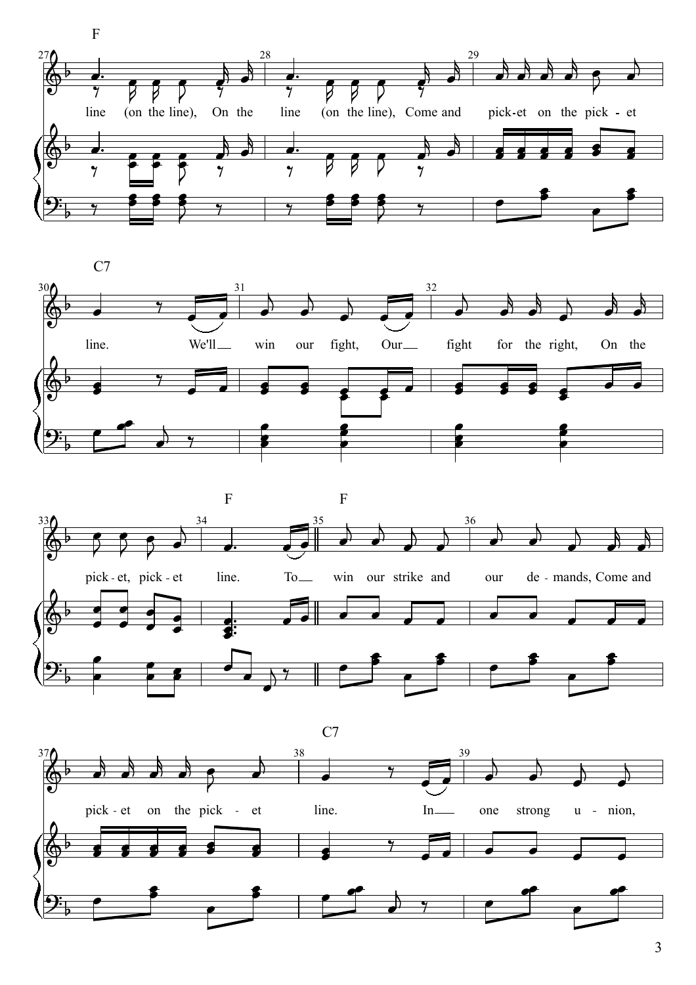





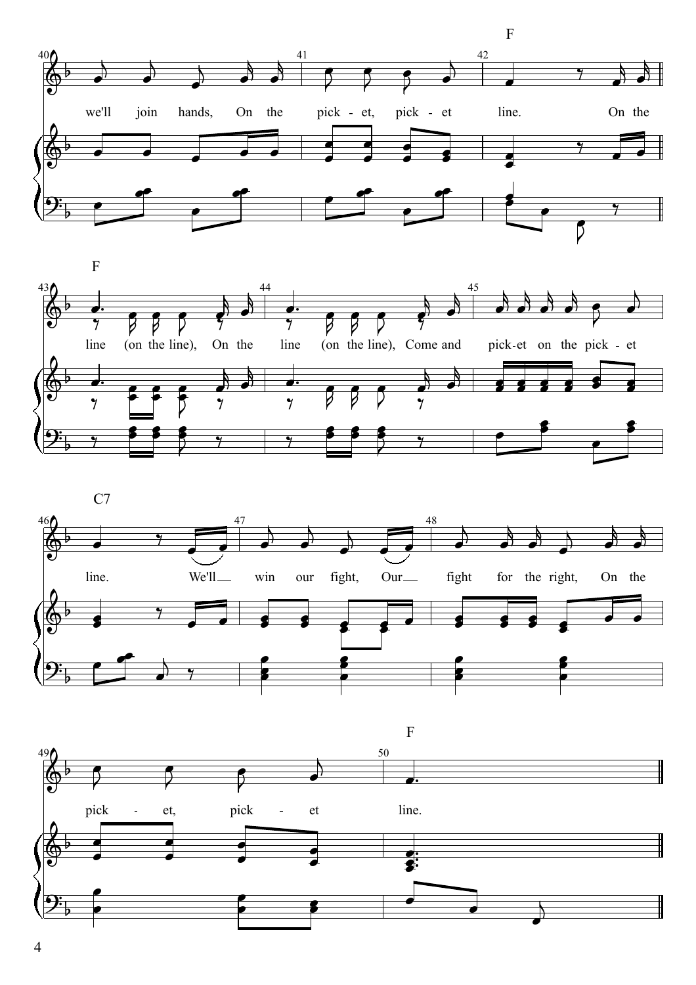



 $C7$ 



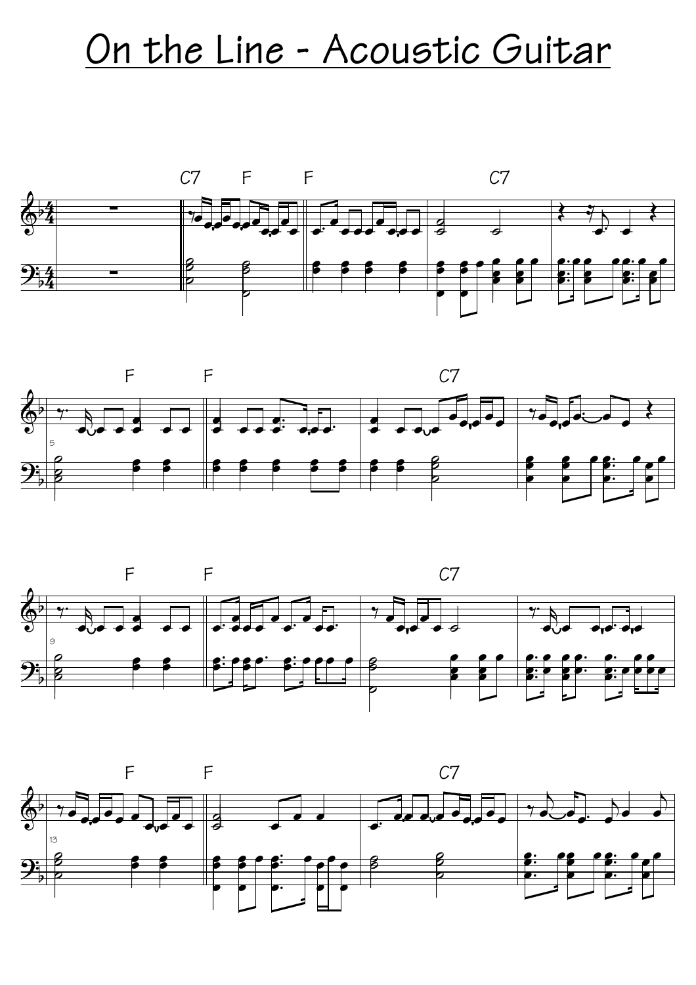### On the Line - Acoustic Guitar







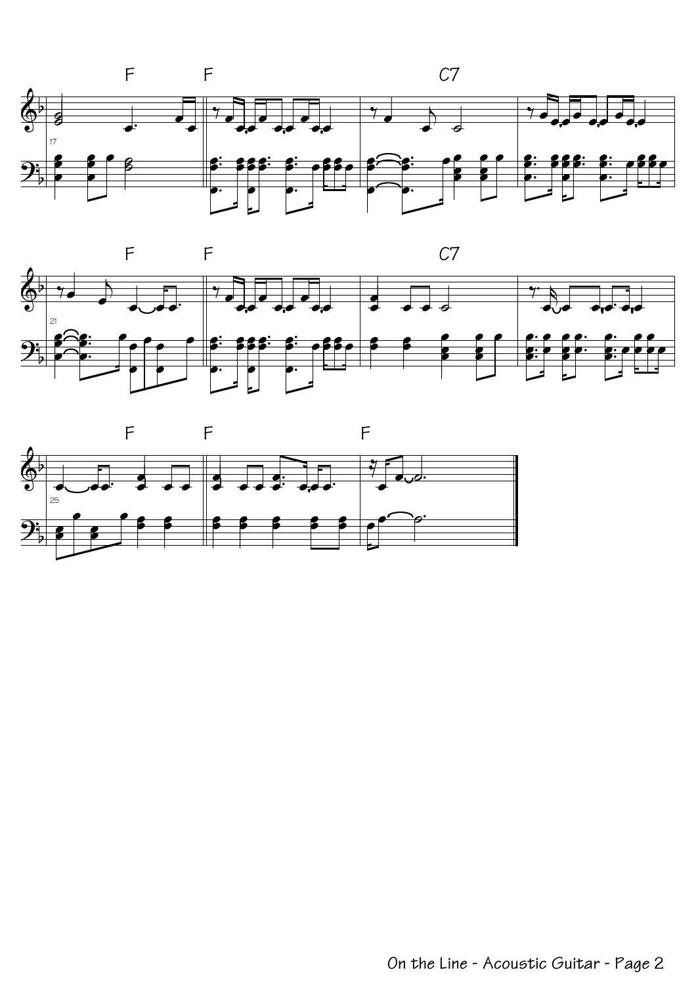



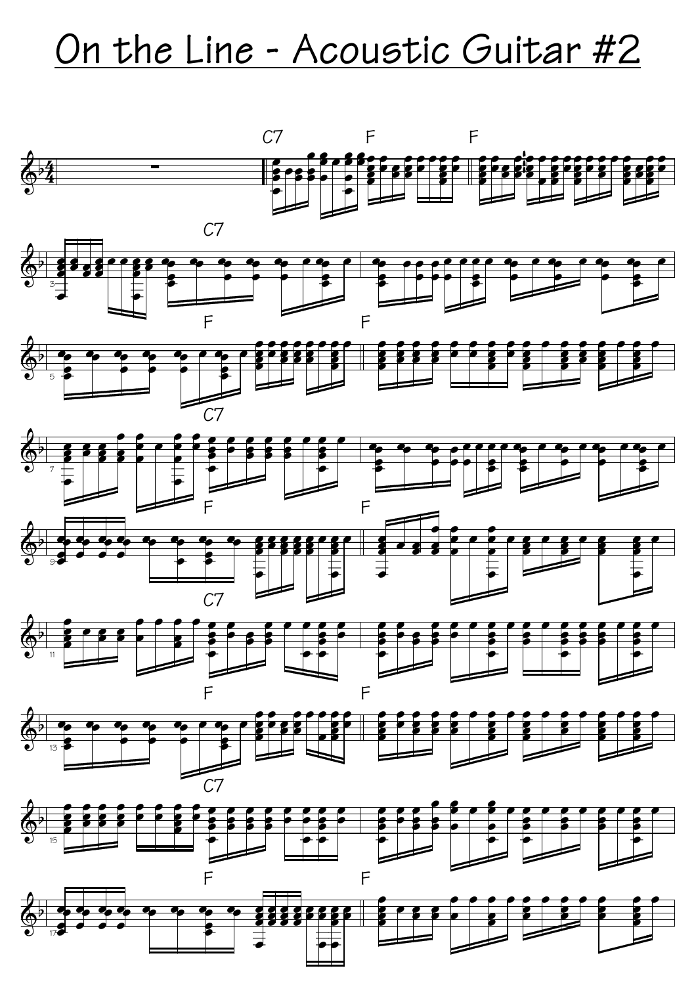# On the Line - Acoustic Guitar #2

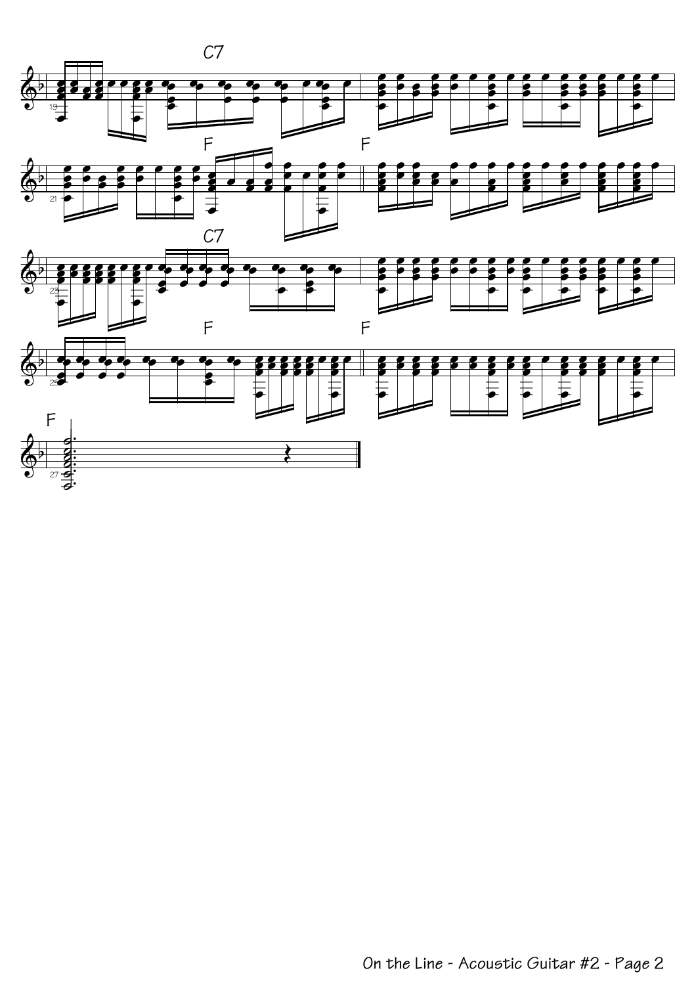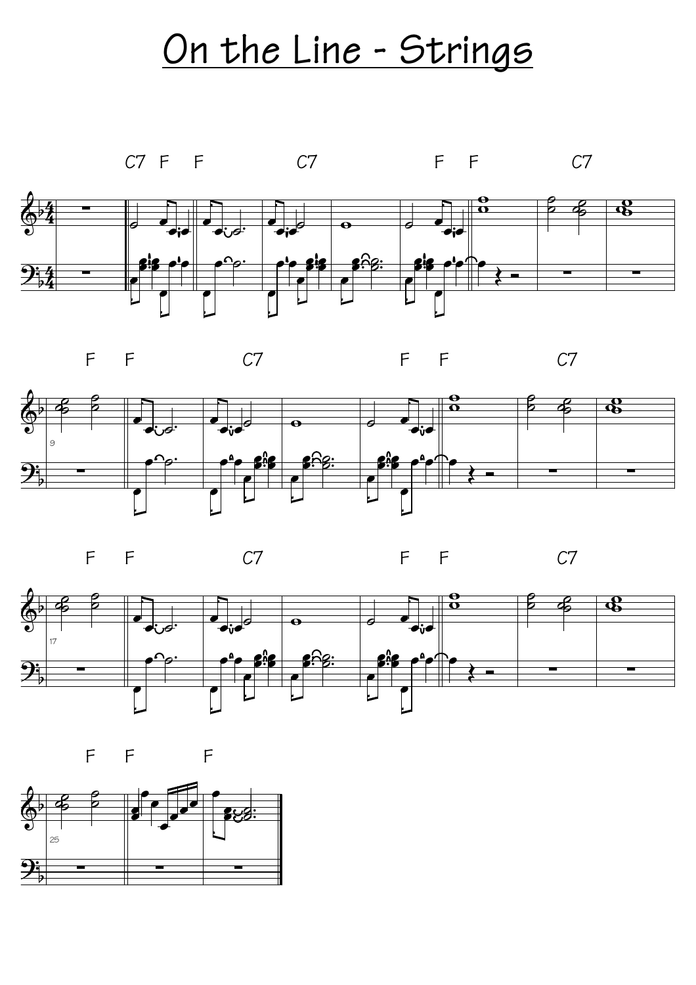### On the Line - Strings